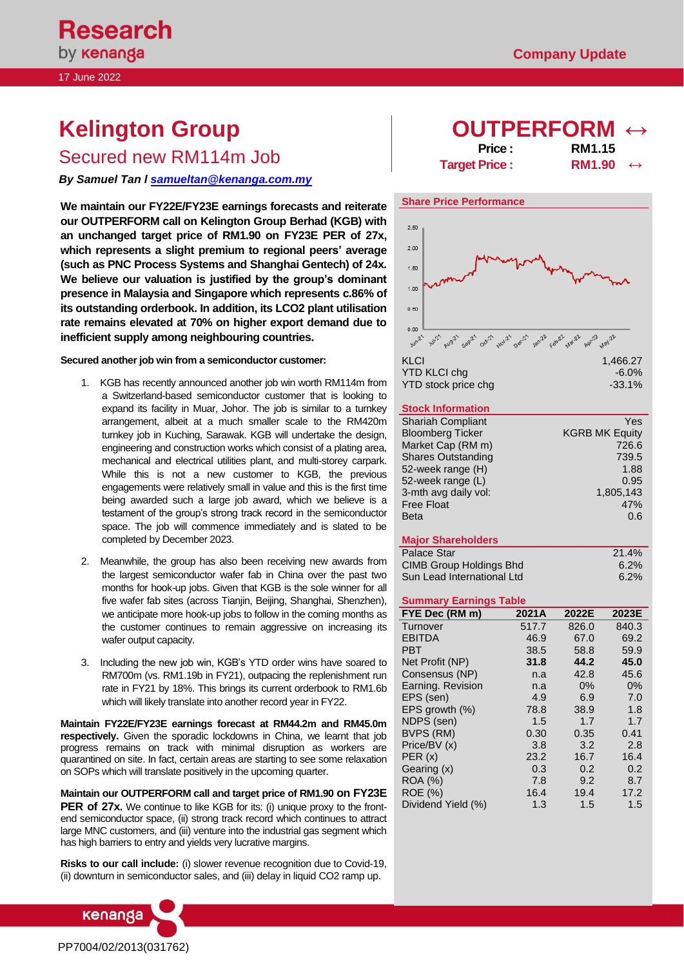17 June 2022

# **Kelington Group**

Secured new RM114m Job

*By Samuel Tan l [samueltan@kenanga.com.my](mailto:samueltan@kenanga.com.my)*

**We maintain our FY22E/FY23E earnings forecasts and reiterate our OUTPERFORM call on Kelington Group Berhad (KGB) with an unchanged target price of RM1.90 on FY23E PER of 27x, which represents a slight premium to regional peers' average (such as PNC Process Systems and Shanghai Gentech) of 24x. We believe our valuation is justified by the group's dominant presence in Malaysia and Singapore which represents c.86% of its outstanding orderbook. In addition, its LCO2 plant utilisation rate remains elevated at 70% on higher export demand due to inefficient supply among neighbouring countries.** 

**Secured another job win from a semiconductor customer:** 

- 1. KGB has recently announced another job win worth RM114m from a Switzerland-based semiconductor customer that is looking to expand its facility in Muar, Johor. The job is similar to a turnkey arrangement, albeit at a much smaller scale to the RM420m turnkey job in Kuching, Sarawak. KGB will undertake the design, engineering and construction works which consist of a plating area, mechanical and electrical utilities plant, and multi-storey carpark. While this is not a new customer to KGB, the previous engagements were relatively small in value and this is the first time being awarded such a large job award, which we believe is a testament of the group's strong track record in the semiconductor space. The job will commence immediately and is slated to be completed by December 2023.
- 2. Meanwhile, the group has also been receiving new awards from the largest semiconductor wafer fab in China over the past two months for hook-up jobs. Given that KGB is the sole winner for all five wafer fab sites (across Tianjin, Beijing, Shanghai, Shenzhen), we anticipate more hook-up jobs to follow in the coming months as the customer continues to remain aggressive on increasing its wafer output capacity.
- 3. Including the new job win, KGB's YTD order wins have soared to RM700m (vs. RM1.19b in FY21), outpacing the replenishment run rate in FY21 by 18%. This brings its current orderbook to RM1.6b which will likely translate into another record year in FY22.

**Maintain FY22E/FY23E earnings forecast at RM44.2m and RM45.0m respectively.** Given the sporadic lockdowns in China, we learnt that job progress remains on track with minimal disruption as workers are quarantined on site. In fact, certain areas are starting to see some relaxation on SOPs which will translate positively in the upcoming quarter.

**Maintain our OUTPERFORM call and target price of RM1.90 on FY23E PER of 27x.** We continue to like KGB for its: (i) unique proxy to the frontend semiconductor space, (ii) strong track record which continues to attract large MNC customers, and (iii) venture into the industrial gas segment which has high barriers to entry and yields very lucrative margins.

**Risks to our call include:** (i) slower revenue recognition due to Covid-19, (ii) downturn in semiconductor sales, and (iii) delay in liquid CO2 ramp up.





# **Share Price Performance**



### **Stock Information**

| <b>Shariah Compliant</b>  | Yes                   |
|---------------------------|-----------------------|
| <b>Bloomberg Ticker</b>   | <b>KGRB MK Equity</b> |
| Market Cap (RM m)         | 726.6                 |
| <b>Shares Outstanding</b> | 739.5                 |
| 52-week range (H)         | 1.88                  |
| 52-week range (L)         | 0.95                  |
| 3-mth avg daily vol:      | 1,805,143             |
| <b>Free Float</b>         | 47%                   |
| <b>Beta</b>               | 0.6                   |
|                           |                       |

#### **Major Shareholders**

| Palace Star                | 21.4%   |
|----------------------------|---------|
| CIMB Group Holdings Bhd    | 6.2%    |
| Sun Lead International Ltd | $6.2\%$ |

#### **Summary Earnings Table**

| FYE Dec (RM m)     | 2021A | 2022E | 2023E |
|--------------------|-------|-------|-------|
| Turnover           | 517.7 | 826.0 | 840.3 |
| <b>EBITDA</b>      | 46.9  | 67.0  | 69.2  |
| PBT                | 38.5  | 58.8  | 59.9  |
| Net Profit (NP)    | 31.8  | 44.2  | 45.0  |
| Consensus (NP)     | n.a   | 42.8  | 45.6  |
| Earning. Revision  | n.a   | $0\%$ | 0%    |
| EPS (sen)          | 4.9   | 6.9   | 7.0   |
| EPS growth (%)     | 78.8  | 38.9  | 1.8   |
| NDPS (sen)         | 1.5   | 1.7   | 1.7   |
| BVPS (RM)          | 0.30  | 0.35  | 0.41  |
| Price/BV (x)       | 3.8   | 3.2   | 2.8   |
| PER(x)             | 23.2  | 16.7  | 16.4  |
| Gearing (x)        | 0.3   | 0.2   | 0.2   |
| <b>ROA (%)</b>     | 7.8   | 9.2   | 8.7   |
| <b>ROE</b> (%)     | 16.4  | 19.4  | 17.2  |
| Dividend Yield (%) | 1.3   | 1.5   | 1.5   |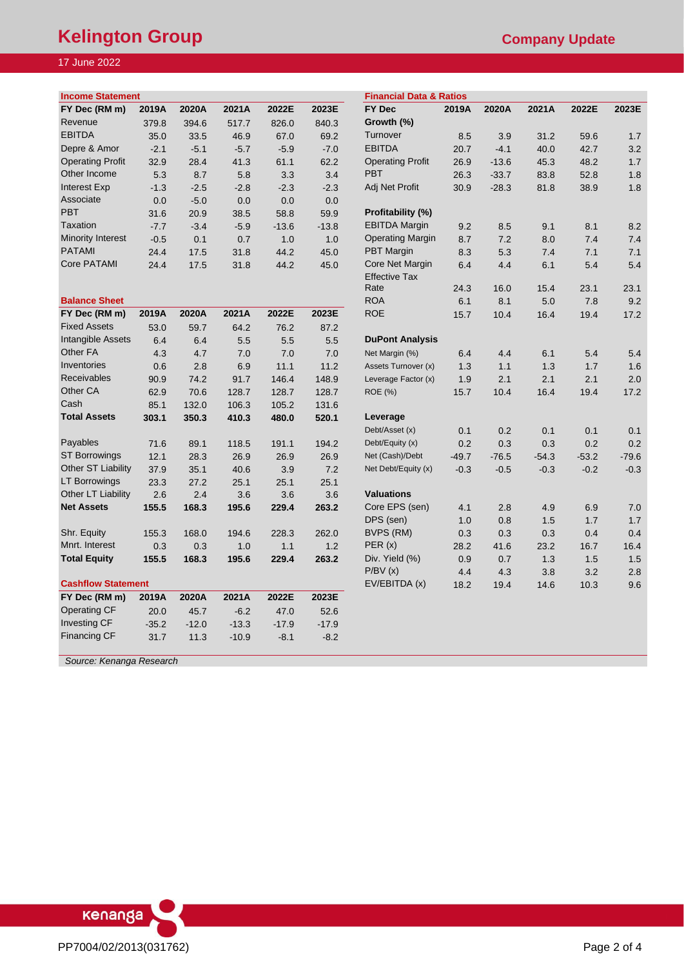# **Kelington Group Company Update**

# 17 June 2022

| <b>Income Statement</b>  |        |        |        |         | <b>Financial Data &amp; Ratios</b> |                         |       |         |       |       |       |
|--------------------------|--------|--------|--------|---------|------------------------------------|-------------------------|-------|---------|-------|-------|-------|
| FY Dec (RM m)            | 2019A  | 2020A  | 2021A  | 2022E   | 2023E                              | FY Dec                  | 2019A | 2020A   | 2021A | 2022E | 2023E |
| Revenue                  | 379.8  | 394.6  | 517.7  | 826.0   | 840.3                              | Growth (%)              |       |         |       |       |       |
| <b>EBITDA</b>            | 35.0   | 33.5   | 46.9   | 67.0    | 69.2                               | Turnover                | 8.5   | 3.9     | 31.2  | 59.6  | 1.7   |
| Depre & Amor             | $-2.1$ | $-5.1$ | $-5.7$ | $-5.9$  | $-7.0$                             | <b>EBITDA</b>           | 20.7  | $-4.1$  | 40.0  | 42.7  | 3.2   |
| <b>Operating Profit</b>  | 32.9   | 28.4   | 41.3   | 61.1    | 62.2                               | <b>Operating Profit</b> | 26.9  | $-13.6$ | 45.3  | 48.2  | 1.7   |
| Other Income             | 5.3    | 8.7    | 5.8    | 3.3     | 3.4                                | <b>PBT</b>              | 26.3  | $-33.7$ | 83.8  | 52.8  | 1.8   |
| Interest Exp             | $-1.3$ | $-2.5$ | $-2.8$ | $-2.3$  | $-2.3$                             | Adj Net Profit          | 30.9  | $-28.3$ | 81.8  | 38.9  | 1.8   |
| Associate                | 0.0    | $-5.0$ | 0.0    | 0.0     | 0.0                                |                         |       |         |       |       |       |
| <b>PBT</b>               | 31.6   | 20.9   | 38.5   | 58.8    | 59.9                               | Profitability (%)       |       |         |       |       |       |
| <b>Taxation</b>          | $-7.7$ | $-3.4$ | $-5.9$ | $-13.6$ | $-13.8$                            | <b>EBITDA Margin</b>    | 9.2   | 8.5     | 9.1   | 8.1   | 8.2   |
| <b>Minority Interest</b> | $-0.5$ | 0.1    | 0.7    | 1.0     | 1.0                                | <b>Operating Margin</b> | 8.7   | 7.2     | 8.0   | 7.4   | 7.4   |
| <b>PATAMI</b>            | 24.4   | 17.5   | 31.8   | 44.2    | 45.0                               | <b>PBT</b> Margin       | 8.3   | 5.3     | 7.4   | 7.1   | 7.1   |
| <b>Core PATAMI</b>       | 24.4   | 17.5   | 31.8   | 44.2    | 45.0                               | Core Net Margin         | 6.4   | 4.4     | 6.1   | 5.4   | 5.4   |

| <b>Balance Sheet</b>      |         |         |         |         |         | <b>ROA</b>             | 6.1     | 8.1     | 5.0     | 7.8     | 9.2     |
|---------------------------|---------|---------|---------|---------|---------|------------------------|---------|---------|---------|---------|---------|
| FY Dec (RM m)             | 2019A   | 2020A   | 2021A   | 2022E   | 2023E   | <b>ROE</b>             | 15.7    | 10.4    | 16.4    | 19.4    | 17.2    |
| <b>Fixed Assets</b>       | 53.0    | 59.7    | 64.2    | 76.2    | 87.2    |                        |         |         |         |         |         |
| Intangible Assets         | 6.4     | 6.4     | 5.5     | 5.5     | 5.5     | <b>DuPont Analysis</b> |         |         |         |         |         |
| Other FA                  | 4.3     | 4.7     | 7.0     | 7.0     | 7.0     | Net Margin (%)         | 6.4     | 4.4     | 6.1     | 5.4     | 5.4     |
| Inventories               | 0.6     | 2.8     | 6.9     | 11.1    | 11.2    | Assets Turnover (x)    | 1.3     | 1.1     | 1.3     | 1.7     | 1.6     |
| <b>Receivables</b>        | 90.9    | 74.2    | 91.7    | 146.4   | 148.9   | Leverage Factor (x)    | 1.9     | 2.1     | 2.1     | 2.1     | 2.0     |
| Other CA                  | 62.9    | 70.6    | 128.7   | 128.7   | 128.7   | <b>ROE</b> (%)         | 15.7    | 10.4    | 16.4    | 19.4    | 17.2    |
| Cash                      | 85.1    | 132.0   | 106.3   | 105.2   | 131.6   |                        |         |         |         |         |         |
| <b>Total Assets</b>       | 303.1   | 350.3   | 410.3   | 480.0   | 520.1   | Leverage               |         |         |         |         |         |
|                           |         |         |         |         |         | Debt/Asset (x)         | 0.1     | 0.2     | 0.1     | 0.1     | 0.1     |
| Payables                  | 71.6    | 89.1    | 118.5   | 191.1   | 194.2   | Debt/Equity (x)        | 0.2     | 0.3     | 0.3     | 0.2     | 0.2     |
| <b>ST Borrowings</b>      | 12.1    | 28.3    | 26.9    | 26.9    | 26.9    | Net (Cash)/Debt        | $-49.7$ | $-76.5$ | $-54.3$ | $-53.2$ | $-79.6$ |
| Other ST Liability        | 37.9    | 35.1    | 40.6    | 3.9     | 7.2     | Net Debt/Equity (x)    | $-0.3$  | $-0.5$  | $-0.3$  | $-0.2$  | $-0.3$  |
| <b>LT Borrowings</b>      | 23.3    | 27.2    | 25.1    | 25.1    | 25.1    |                        |         |         |         |         |         |
| Other LT Liability        | 2.6     | 2.4     | 3.6     | 3.6     | 3.6     | <b>Valuations</b>      |         |         |         |         |         |
| <b>Net Assets</b>         | 155.5   | 168.3   | 195.6   | 229.4   | 263.2   | Core EPS (sen)         | 4.1     | 2.8     | 4.9     | 6.9     | 7.0     |
|                           |         |         |         |         |         | DPS (sen)              | 1.0     | 0.8     | 1.5     | 1.7     | 1.7     |
| Shr. Equity               | 155.3   | 168.0   | 194.6   | 228.3   | 262.0   | BVPS (RM)              | 0.3     | 0.3     | 0.3     | 0.4     | 0.4     |
| Mnrt. Interest            | 0.3     | 0.3     | 1.0     | 1.1     | 1.2     | PER(x)                 | 28.2    | 41.6    | 23.2    | 16.7    | 16.4    |
| <b>Total Equity</b>       | 155.5   | 168.3   | 195.6   | 229.4   | 263.2   | Div. Yield (%)         | 0.9     | 0.7     | 1.3     | 1.5     | 1.5     |
|                           |         |         |         |         |         | P/BV(x)                | 4.4     | 4.3     | 3.8     | 3.2     | 2.8     |
| <b>Cashflow Statement</b> |         |         |         |         |         | EV/EBITDA (x)          | 18.2    | 19.4    | 14.6    | 10.3    | 9.6     |
| FY Dec (RM m)             | 2019A   | 2020A   | 2021A   | 2022E   | 2023E   |                        |         |         |         |         |         |
| <b>Operating CF</b>       | 20.0    | 45.7    | $-6.2$  | 47.0    | 52.6    |                        |         |         |         |         |         |
| Investing CF              | $-35.2$ | $-12.0$ | $-13.3$ | $-17.9$ | $-17.9$ |                        |         |         |         |         |         |
| <b>Financing CF</b>       | 31.7    | 11.3    | $-10.9$ | $-8.1$  | $-8.2$  |                        |         |         |         |         |         |
|                           |         |         |         |         |         |                        |         |         |         |         |         |

| 7 June 2022               |        |        |        |         |         |                                    |         |         |         |         |         |
|---------------------------|--------|--------|--------|---------|---------|------------------------------------|---------|---------|---------|---------|---------|
|                           |        |        |        |         |         |                                    |         |         |         |         |         |
| <b>Income Statement</b>   |        |        |        |         |         | <b>Financial Data &amp; Ratios</b> |         |         |         |         |         |
| FY Dec (RM m)             | 2019A  | 2020A  | 2021A  | 2022E   | 2023E   | <b>FY Dec</b>                      | 2019A   | 2020A   | 2021A   | 2022E   | 2023E   |
| Revenue                   | 379.8  | 394.6  | 517.7  | 826.0   | 840.3   | Growth (%)                         |         |         |         |         |         |
| <b>EBITDA</b>             | 35.0   | 33.5   | 46.9   | 67.0    | 69.2    | Turnover                           | 8.5     | 3.9     | 31.2    | 59.6    | 1.7     |
| Depre & Amor              | $-2.1$ | $-5.1$ | $-5.7$ | $-5.9$  | $-7.0$  | <b>EBITDA</b>                      | 20.7    | $-4.1$  | 40.0    | 42.7    | 3.2     |
| <b>Operating Profit</b>   | 32.9   | 28.4   | 41.3   | 61.1    | 62.2    | <b>Operating Profit</b>            | 26.9    | $-13.6$ | 45.3    | 48.2    | 1.7     |
| Other Income              | 5.3    | 8.7    | 5.8    | 3.3     | 3.4     | <b>PBT</b>                         | 26.3    | $-33.7$ | 83.8    | 52.8    | 1.8     |
| Interest Exp              | $-1.3$ | $-2.5$ | $-2.8$ | $-2.3$  | $-2.3$  | Adj Net Profit                     | 30.9    | $-28.3$ | 81.8    | 38.9    | 1.8     |
| Associate                 | 0.0    | $-5.0$ | 0.0    | 0.0     | 0.0     |                                    |         |         |         |         |         |
| PBT                       | 31.6   | 20.9   | 38.5   | 58.8    | 59.9    | Profitability (%)                  |         |         |         |         |         |
| Taxation                  | $-7.7$ | $-3.4$ | $-5.9$ | $-13.6$ | $-13.8$ | <b>EBITDA Margin</b>               | 9.2     | 8.5     | 9.1     | 8.1     | 8.2     |
| Minority Interest         | $-0.5$ | 0.1    | 0.7    | 1.0     | 1.0     | <b>Operating Margin</b>            | 8.7     | 7.2     | 8.0     | 7.4     | 7.4     |
| <b>PATAMI</b>             | 24.4   | 17.5   | 31.8   | 44.2    | 45.0    | <b>PBT</b> Margin                  | 8.3     | 5.3     | 7.4     | 7.1     | 7.1     |
| Core PATAMI               | 24.4   | 17.5   | 31.8   | 44.2    | 45.0    | Core Net Margin                    | 6.4     | 4.4     | 6.1     | 5.4     | 5.4     |
|                           |        |        |        |         |         | <b>Effective Tax</b>               |         |         |         |         |         |
|                           |        |        |        |         |         | Rate                               | 24.3    | 16.0    | 15.4    | 23.1    | 23.1    |
| <b>Balance Sheet</b>      |        |        |        |         |         | <b>ROA</b>                         | 6.1     | 8.1     | 5.0     | 7.8     | 9.2     |
| FY Dec (RM m)             | 2019A  | 2020A  | 2021A  | 2022E   | 2023E   | <b>ROE</b>                         | 15.7    | 10.4    | 16.4    | 19.4    | 17.2    |
| <b>Fixed Assets</b>       | 53.0   | 59.7   | 64.2   | 76.2    | 87.2    |                                    |         |         |         |         |         |
| Intangible Assets         | 6.4    | 6.4    | 5.5    | 5.5     | 5.5     | <b>DuPont Analysis</b>             |         |         |         |         |         |
| Other FA                  | 4.3    | 4.7    | 7.0    | 7.0     | 7.0     | Net Margin (%)                     | 6.4     | 4.4     | 6.1     | 5.4     | 5.4     |
| Inventories               | 0.6    | 2.8    | 6.9    | 11.1    | 11.2    | Assets Turnover (x)                | 1.3     | 1.1     | 1.3     | 1.7     | 1.6     |
| Receivables               | 90.9   | 74.2   | 91.7   | 146.4   | 148.9   | Leverage Factor (x)                | 1.9     | 2.1     | 2.1     | 2.1     | 2.0     |
| Other CA                  | 62.9   | 70.6   | 128.7  | 128.7   | 128.7   | <b>ROE (%)</b>                     | 15.7    | 10.4    | 16.4    | 19.4    | 17.2    |
| Cash                      | 85.1   | 132.0  | 106.3  | 105.2   | 131.6   |                                    |         |         |         |         |         |
| <b>Total Assets</b>       | 303.1  | 350.3  | 410.3  | 480.0   | 520.1   | Leverage                           |         |         |         |         |         |
|                           |        |        |        |         |         | Debt/Asset (x)                     | 0.1     | 0.2     | 0.1     | 0.1     | 0.1     |
| Payables                  | 71.6   | 89.1   | 118.5  | 191.1   | 194.2   | Debt/Equity (x)                    | 0.2     | 0.3     | 0.3     | 0.2     | 0.2     |
| <b>ST Borrowings</b>      | 12.1   | 28.3   | 26.9   | 26.9    | 26.9    | Net (Cash)/Debt                    | $-49.7$ | $-76.5$ | $-54.3$ | $-53.2$ | $-79.6$ |
| <b>Other ST Liability</b> | 37.9   | 35.1   | 40.6   | 3.9     | 7.2     | Net Debt/Equity (x)                | $-0.3$  | $-0.5$  | $-0.3$  | $-0.2$  | $-0.3$  |
| <b>LT Borrowings</b>      | 23.3   | 27.2   | 25.1   | 25.1    | 25.1    |                                    |         |         |         |         |         |
| Other LT Liability        | 2.6    | 2.4    | 3.6    | 3.6     | 3.6     | <b>Valuations</b>                  |         |         |         |         |         |
| <b>Net Assets</b>         | 155.5  | 168.3  | 195.6  | 229.4   | 263.2   | Core EPS (sen)                     | 4.1     | 2.8     | 4.9     | 6.9     | 7.0     |
|                           |        |        |        |         |         | DPS (sen)                          | 1.0     | 0.8     | 1.5     | 1.7     | 1.7     |
| Shr. Equity               | 155.3  | 168.0  | 194.6  | 228.3   | 262.0   | BVPS (RM)                          | 0.3     | 0.3     | 0.3     | 0.4     | 0.4     |
| Mnrt. Interest            | 0.3    | 0.3    | 1.0    | 1.1     | 1.2     | PER(x)                             | 28.2    | 41.6    | 23.2    | 16.7    | 16.4    |
| <b>Total Equity</b>       | 155.5  | 168.3  | 195.6  | 229.4   | 263.2   | Div. Yield (%)                     | 0.9     | 0.7     | 1.3     | 1.5     | 1.5     |
|                           |        |        |        |         |         | P/BV(x)                            | 4.4     | 4.3     | 3.8     | 3.2     | 2.8     |
| <b>Cashflow Statement</b> |        |        |        |         |         | EV/EBITDA (x)                      | 18.2    | 19.4    | 14.6    | 10.3    | 9.6     |
| FY Dec (RM m)             | 2019A  | 2020A  | 2021A  | 2022E   | 2023E   |                                    |         |         |         |         |         |
| <b>Operating CF</b>       | 20.0   | 45.7   | $-6.2$ | 47.0    | 52.6    |                                    |         |         |         |         |         |

*Source: Kenanga Research*

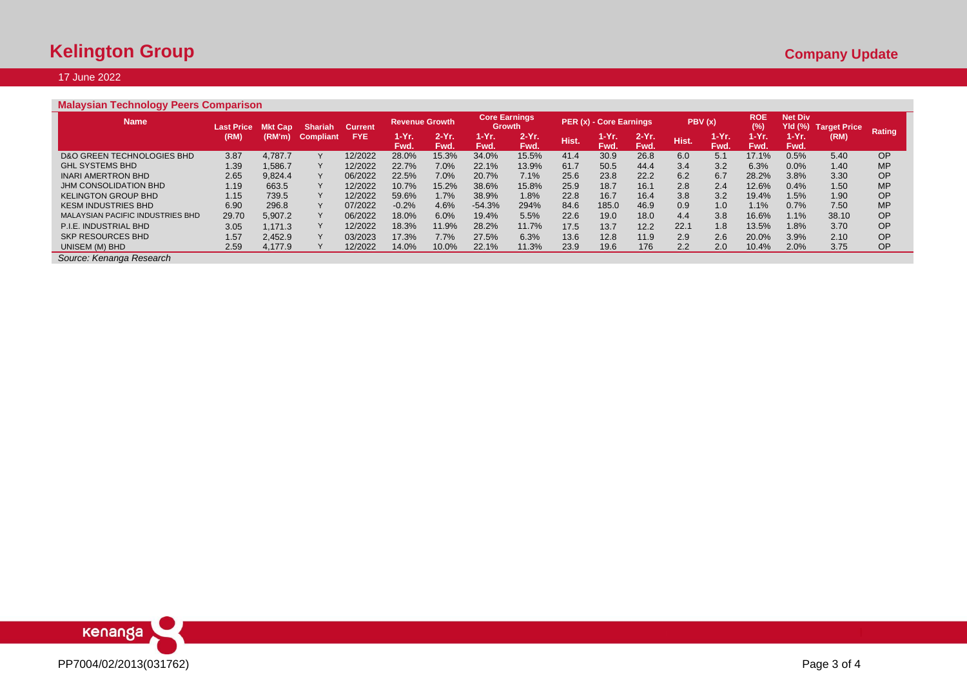## 17 June 2022

# **Malaysian Technology Peers Comparison**

| <b>Name</b>                           | <b>Last Price</b> | Cap     | <b>Shariah</b> | <b>Current</b> | <b>Revenue Growth</b> |                 | <b>Growth</b>       | <b>Core Earnings</b> |       | PER (x) - Core Earnings |                  |       | PBV(x)                | <b>ROE</b><br>(%) | <b>Net Div</b><br>Yld (%) | Target Price |               |
|---------------------------------------|-------------------|---------|----------------|----------------|-----------------------|-----------------|---------------------|----------------------|-------|-------------------------|------------------|-------|-----------------------|-------------------|---------------------------|--------------|---------------|
|                                       | (RM)              | (RM'm)  | Com<br>liant   | <b>FYE</b>     | 1-Yr.<br>Fwd.         | $2-Yr$ .<br>Fwd | 1-Yr.<br><b>Fwd</b> | $2-Yr$<br>Fwd.       | Hist. | 1-Yr.<br>Fwd.           | $2-Yr$ .<br>Fwd. | Hist. | 1-Yr. .<br><b>Fwd</b> | 1-Yr.<br>Fwd.     | M-Yr.<br>Fwd.             | (RM)         | <b>Rating</b> |
| <b>D&amp;O GREEN TECHNOLOGIES BHD</b> | 3.87              | 4.787.7 |                | 12/2022        | 28.0%                 | 15.3%           | 34.0%               | 15.5%                | 41.4  | 30.9                    | 26.8             | 6.0   | 5.1                   | 17.1%             | 0.5%                      | 5.40         | <b>OP</b>     |
| <b>GHL SYSTEMS BHD</b>                | 1.39              | .586.7  |                | 12/2022        | 22.7%                 | 7.0%            | 22.1%               | 13.9%                | 61.7  | 50.5                    | 44.4             | 3.4   | 3.2                   | 6.3%              | 0.0%                      | 1.40         | <b>MP</b>     |
| <b>INARI AMERTRON BHD</b>             | 2.65              | 9.824.4 |                | 06/2022        | 22.5%                 | 7.0%            | 20.7%               | 7.1%                 | 25.6  | 23.8                    | 22.2             | 6.2   | 6.7                   | 28.2%             | 3.8%                      | 3.30         | <b>OP</b>     |
| JHM CONSOLIDATION BHD                 | 1.19              | 663.5   |                | 12/2022        | 10.7%                 | 15.2%           | 38.6%               | 15.8%                | 25.9  | 18.7                    | 16.1             | 2.8   | 2.4                   | 12.6%             | 0.4%                      | 1.50         | <b>MP</b>     |
| <b>KELINGTON GROUP BHD</b>            | 1.15              | 739.5   |                | 12/2022        | 59.6%                 | 1.7%            | 38.9%               | 1.8%                 | 22.8  | 16.7                    | 16.4             | 3.8   | 3.2                   | 19.4%             | 1.5%                      | 1.90         | <b>OP</b>     |
| <b>KESM INDUSTRIES BHD</b>            | 6.90              | 296.8   |                | 07/2022        | $-0.2%$               | 4.6%            | $-54.3%$            | 294%                 | 84.6  | 185.0                   | 46.9             | 0.9   | 1.0                   | $1.1\%$           | 0.7%                      | 7.50         | <b>MP</b>     |
| MALAYSIAN PACIFIC INDUSTRIES BHD      | 29.70             | 5.907.2 |                | 06/2022        | 18.0%                 | 6.0%            | 19.4%               | 5.5%                 | 22.6  | 19.0                    | 18.0             | 4.4   | 3.8                   | 16.6%             | 1.1%                      | 38.10        | OP            |
| P.I.E. INDUSTRIAL BHD                 | 3.05              | .171.3  |                | 12/2022        | 18.3%                 | 11.9%           | 28.2%               | 11.7%                | 17.5  | 13.7                    | 12.2             | 22.1  | 1.8                   | 13.5%             | 1.8%                      | 3.70         | <b>OP</b>     |
| <b>SKP RESOURCES BHD</b>              | 1.57              | 2.452.9 |                | 03/2023        | 17.3%                 | 7.7%            | 27.5%               | 6.3%                 | 13.6  | 12.8                    | 11.9             | 2.9   | 2.6                   | 20.0%             | 3.9%                      | 2.10         | <b>OP</b>     |
| UNISEM (M) BHD                        | 2.59              | 4.177.9 |                | 12/2022        | 14.0%                 | $10.0\%$        | 22.1%               | 11.3%                | 23.9  | 19.6                    | 176              | 2.2   | 2.0                   | 10.4%             | 2.0%                      | 3.75         | <b>OP</b>     |

*Source: Kenanga Research*